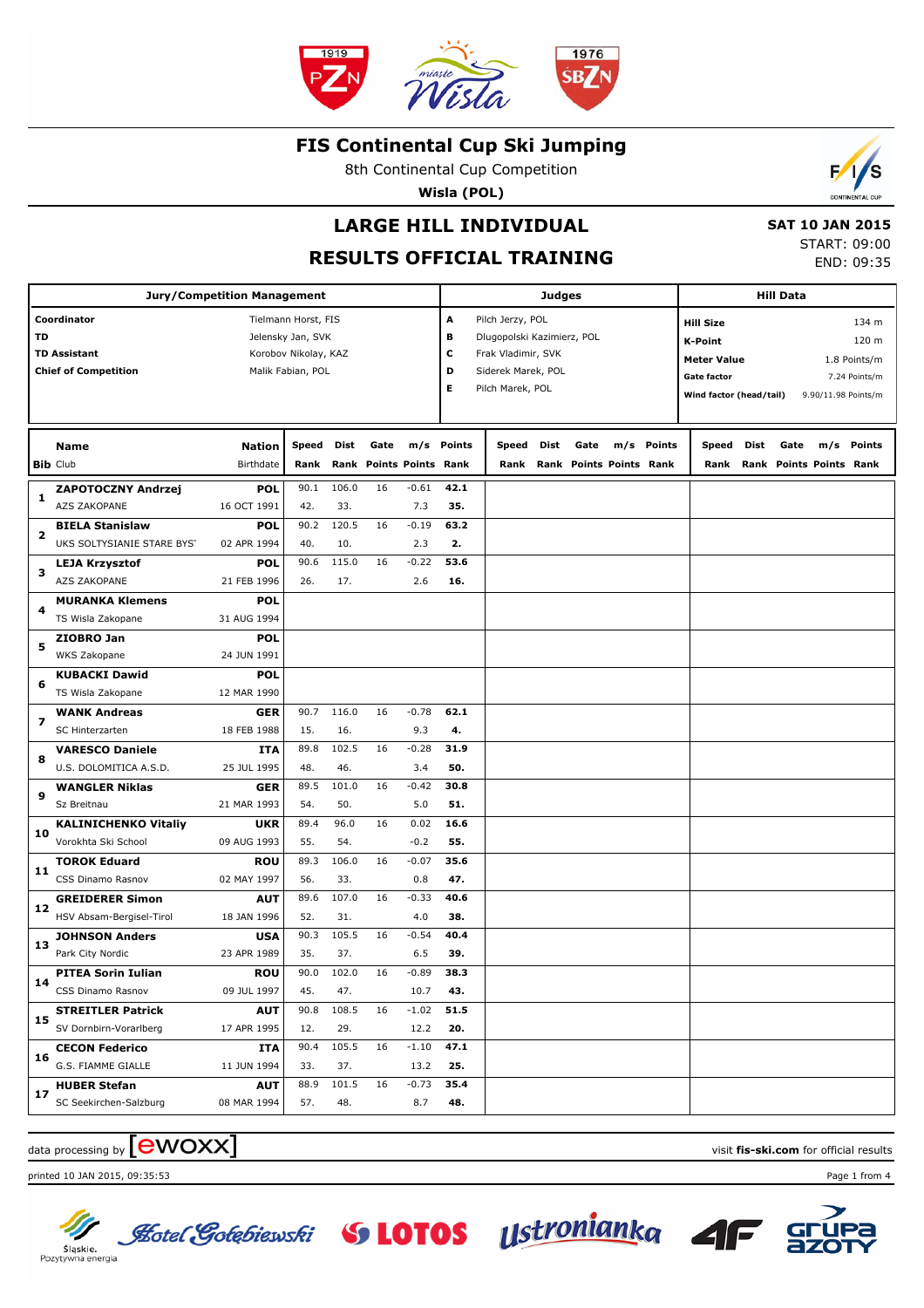

8th Continental Cup Competition

**Wisla (POL)**

## **LARGE HILL INDIVIDUAL**

 **SAT 10 JAN 2015** START: 09:00 END: 09:35

Б

s

## **RESULTS OFFICIAL TRAINING**

|    | <b>Jury/Competition Management</b>                                | <b>Judges</b>                                                                         |       |       |                         |                |                       | <b>Hill Data</b>                                                                                               |      |      |                         |            |       |                                                                                                                                                                                     |      |                              |            |
|----|-------------------------------------------------------------------|---------------------------------------------------------------------------------------|-------|-------|-------------------------|----------------|-----------------------|----------------------------------------------------------------------------------------------------------------|------|------|-------------------------|------------|-------|-------------------------------------------------------------------------------------------------------------------------------------------------------------------------------------|------|------------------------------|------------|
| TD | Coordinator<br><b>TD Assistant</b><br><b>Chief of Competition</b> | Tielmann Horst, FIS<br>Jelensky Jan, SVK<br>Korobov Nikolay, KAZ<br>Malik Fabian, POL |       |       |                         |                | Α<br>в<br>c<br>D<br>Е | Pilch Jerzy, POL<br>Dlugopolski Kazimierz, POL<br>Frak Vladimir, SVK<br>Siderek Marek, POL<br>Pilch Marek, POL |      |      |                         |            |       | 134 m<br><b>Hill Size</b><br>120 m<br><b>K-Point</b><br><b>Meter Value</b><br>1.8 Points/m<br><b>Gate factor</b><br>7.24 Points/m<br>Wind factor (head/tail)<br>9.90/11.98 Points/m |      |                              |            |
|    | Name                                                              | Nation                                                                                | Speed | Dist  | Gate                    |                | m/s Points            | Speed                                                                                                          | Dist | Gate |                         | m/s Points | Speed | Dist                                                                                                                                                                                | Gate |                              | m/s Points |
|    | <b>Bib Club</b>                                                   | Birthdate                                                                             | Rank  |       | Rank Points Points Rank |                |                       | Rank                                                                                                           |      |      | Rank Points Points Rank |            |       |                                                                                                                                                                                     |      | Rank Rank Points Points Rank |            |
|    | ZAPOTOCZNY Andrzej                                                | <b>POL</b>                                                                            | 90.1  | 106.0 | 16                      | $-0.61$        | 42.1                  |                                                                                                                |      |      |                         |            |       |                                                                                                                                                                                     |      |                              |            |
| 1  | AZS ZAKOPANE                                                      | 16 OCT 1991                                                                           | 42.   | 33.   |                         | 7.3            | 35.                   |                                                                                                                |      |      |                         |            |       |                                                                                                                                                                                     |      |                              |            |
| 2  | <b>BIELA Stanislaw</b>                                            | <b>POL</b>                                                                            | 90.2  | 120.5 | 16                      | $-0.19$        | 63.2                  |                                                                                                                |      |      |                         |            |       |                                                                                                                                                                                     |      |                              |            |
|    | UKS SOLTYSIANIE STARE BYST                                        | 02 APR 1994                                                                           | 40.   | 10.   |                         | 2.3            | 2.                    |                                                                                                                |      |      |                         |            |       |                                                                                                                                                                                     |      |                              |            |
| з  | <b>LEJA Krzysztof</b>                                             | <b>POL</b>                                                                            | 90.6  | 115.0 | 16                      | $-0.22$        | 53.6                  |                                                                                                                |      |      |                         |            |       |                                                                                                                                                                                     |      |                              |            |
|    | AZS ZAKOPANE                                                      | 21 FEB 1996                                                                           | 26.   | 17.   |                         | 2.6            | 16.                   |                                                                                                                |      |      |                         |            |       |                                                                                                                                                                                     |      |                              |            |
| 4  | <b>MURANKA Klemens</b>                                            | <b>POL</b>                                                                            |       |       |                         |                |                       |                                                                                                                |      |      |                         |            |       |                                                                                                                                                                                     |      |                              |            |
|    | TS Wisla Zakopane                                                 | 31 AUG 1994                                                                           |       |       |                         |                |                       |                                                                                                                |      |      |                         |            |       |                                                                                                                                                                                     |      |                              |            |
| 5  | ZIOBRO Jan                                                        | <b>POL</b>                                                                            |       |       |                         |                |                       |                                                                                                                |      |      |                         |            |       |                                                                                                                                                                                     |      |                              |            |
|    | WKS Zakopane                                                      | 24 JUN 1991                                                                           |       |       |                         |                |                       |                                                                                                                |      |      |                         |            |       |                                                                                                                                                                                     |      |                              |            |
| 6  | <b>KUBACKI Dawid</b>                                              | <b>POL</b><br>12 MAR 1990                                                             |       |       |                         |                |                       |                                                                                                                |      |      |                         |            |       |                                                                                                                                                                                     |      |                              |            |
|    | TS Wisla Zakopane                                                 | <b>GER</b>                                                                            | 90.7  | 116.0 | 16                      | $-0.78$        | 62.1                  |                                                                                                                |      |      |                         |            |       |                                                                                                                                                                                     |      |                              |            |
| 7  | <b>WANK Andreas</b><br>SC Hinterzarten                            | 18 FEB 1988                                                                           | 15.   | 16.   |                         | 9.3            | 4.                    |                                                                                                                |      |      |                         |            |       |                                                                                                                                                                                     |      |                              |            |
|    | <b>VARESCO Daniele</b>                                            | <b>ITA</b>                                                                            | 89.8  | 102.5 | 16                      | $-0.28$        | 31.9                  |                                                                                                                |      |      |                         |            |       |                                                                                                                                                                                     |      |                              |            |
| 8  | U.S. DOLOMITICA A.S.D.                                            | 25 JUL 1995                                                                           | 48.   | 46.   |                         | 3.4            | 50.                   |                                                                                                                |      |      |                         |            |       |                                                                                                                                                                                     |      |                              |            |
|    | <b>WANGLER Niklas</b>                                             | <b>GER</b>                                                                            | 89.5  | 101.0 | 16                      | $-0.42$        | 30.8                  |                                                                                                                |      |      |                         |            |       |                                                                                                                                                                                     |      |                              |            |
| 9  | Sz Breitnau                                                       | 21 MAR 1993                                                                           | 54.   | 50.   |                         | 5.0            | 51.                   |                                                                                                                |      |      |                         |            |       |                                                                                                                                                                                     |      |                              |            |
|    | <b>KALINICHENKO Vitaliy</b>                                       | <b>UKR</b>                                                                            | 89.4  | 96.0  | 16                      | 0.02           | 16.6                  |                                                                                                                |      |      |                         |            |       |                                                                                                                                                                                     |      |                              |            |
| 10 | Vorokhta Ski School                                               | 09 AUG 1993                                                                           | 55.   | 54.   |                         | $-0.2$         | 55.                   |                                                                                                                |      |      |                         |            |       |                                                                                                                                                                                     |      |                              |            |
|    | <b>TOROK Eduard</b>                                               | <b>ROU</b>                                                                            | 89.3  | 106.0 | 16                      | $-0.07$        | 35.6                  |                                                                                                                |      |      |                         |            |       |                                                                                                                                                                                     |      |                              |            |
| 11 | CSS Dinamo Rasnov                                                 | 02 MAY 1997                                                                           | 56.   | 33.   |                         | 0.8            | 47.                   |                                                                                                                |      |      |                         |            |       |                                                                                                                                                                                     |      |                              |            |
| 12 | <b>GREIDERER Simon</b>                                            | <b>AUT</b>                                                                            | 89.6  | 107.0 | 16                      | $-0.33$        | 40.6                  |                                                                                                                |      |      |                         |            |       |                                                                                                                                                                                     |      |                              |            |
|    | HSV Absam-Bergisel-Tirol                                          | 18 JAN 1996                                                                           | 52.   | 31.   |                         | 4.0            | 38.                   |                                                                                                                |      |      |                         |            |       |                                                                                                                                                                                     |      |                              |            |
| 13 | <b>JOHNSON Anders</b>                                             | <b>USA</b>                                                                            | 90.3  | 105.5 | 16                      | $-0.54$        | 40.4                  |                                                                                                                |      |      |                         |            |       |                                                                                                                                                                                     |      |                              |            |
|    | Park City Nordic                                                  | 23 APR 1989                                                                           | 35.   | 37.   |                         | 6.5            | 39.                   |                                                                                                                |      |      |                         |            |       |                                                                                                                                                                                     |      |                              |            |
| 14 | <b>PITEA Sorin Iulian</b>                                         | <b>ROU</b>                                                                            | 90.0  | 102.0 | 16                      | $-0.89$        | 38.3                  |                                                                                                                |      |      |                         |            |       |                                                                                                                                                                                     |      |                              |            |
|    | CSS Dinamo Rasnov                                                 | 09 JUL 1997                                                                           | 45.   | 47.   |                         | 10.7           | 43.                   |                                                                                                                |      |      |                         |            |       |                                                                                                                                                                                     |      |                              |            |
| 15 | <b>STREITLER Patrick</b>                                          | <b>AUT</b>                                                                            | 90.8  | 108.5 | 16                      | $-1.02$        | 51.5                  |                                                                                                                |      |      |                         |            |       |                                                                                                                                                                                     |      |                              |            |
|    | SV Dornbirn-Vorarlberg                                            | 17 APR 1995                                                                           | 12.   | 29.   |                         | 12.2           | 20.                   |                                                                                                                |      |      |                         |            |       |                                                                                                                                                                                     |      |                              |            |
| 16 | <b>CECON Federico</b>                                             | ITA                                                                                   | 90.4  | 105.5 | 16                      | $-1.10$        | 47.1                  |                                                                                                                |      |      |                         |            |       |                                                                                                                                                                                     |      |                              |            |
|    | G.S. FIAMME GIALLE                                                | 11 JUN 1994                                                                           | 33.   | 37.   |                         | 13.2           | 25.                   |                                                                                                                |      |      |                         |            |       |                                                                                                                                                                                     |      |                              |            |
| 17 | SC Seekirchen-Salzburg                                            | 08 MAR 1994                                                                           | 57.   | 48.   |                         |                | 48.                   |                                                                                                                |      |      |                         |            |       |                                                                                                                                                                                     |      |                              |            |
|    | <b>HUBER Stefan</b>                                               | <b>AUT</b>                                                                            | 88.9  | 101.5 | 16                      | $-0.73$<br>8.7 | 35.4                  |                                                                                                                |      |      |                         |            |       |                                                                                                                                                                                     |      |                              |            |

# $\frac{1}{2}$  data processing by  $\boxed{\text{ewOX}}$

printed 10 JAN 2015, 09:35:53 Page 1 from 4







Sląskie.<br>Pozytywna energia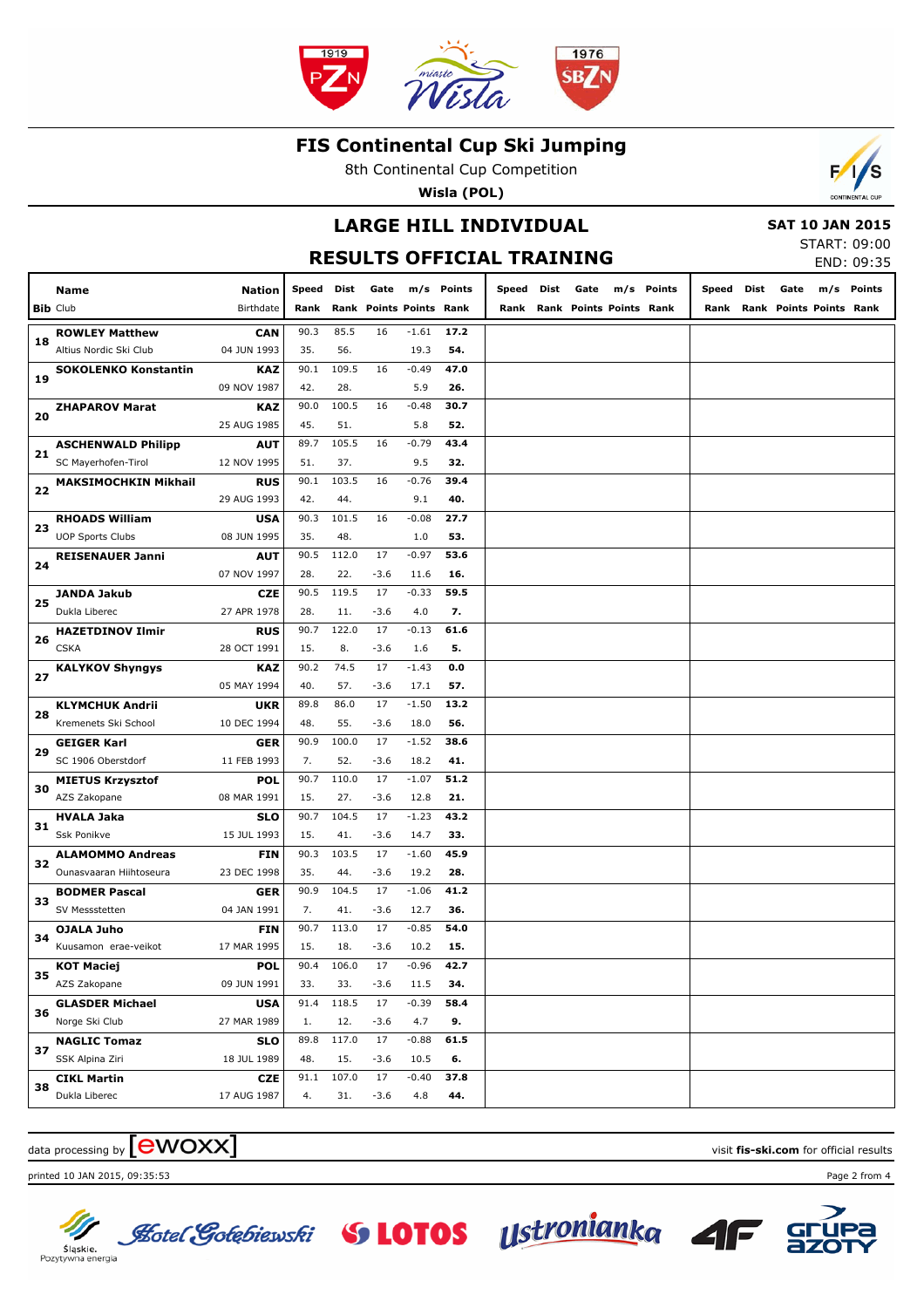

8th Continental Cup Competition

**Wisla (POL)**

## **LARGE HILL INDIVIDUAL**

#### **SAT 10 JAN 2015**

START: 09:00 END: 09:35

 $\mathcal{L}$ 

|    |                              |                                                                                                         |                 |              |                         |                 |             | RESULTS OFFICIAL TRAINING |                              |            |            |      |                              | JIANI . VJ.VU<br>END: 09:35 |
|----|------------------------------|---------------------------------------------------------------------------------------------------------|-----------------|--------------|-------------------------|-----------------|-------------|---------------------------|------------------------------|------------|------------|------|------------------------------|-----------------------------|
|    | Name                         | <b>Nation</b>                                                                                           | Speed Dist Gate |              |                         |                 | m/s Points  |                           | Speed Dist Gate              | m/s Points | Speed Dist | Gate |                              | m/s Points                  |
|    | <b>Bib Club</b>              | Birthdate                                                                                               | Rank            |              | Rank Points Points Rank |                 |             |                           | Rank Rank Points Points Rank |            |            |      | Rank Rank Points Points Rank |                             |
|    | <b>ROWLEY Matthew</b>        | <b>CAN</b>                                                                                              | 90.3            | 85.5         | 16                      | $-1.61$         | 17.2        |                           |                              |            |            |      |                              |                             |
| 18 | Altius Nordic Ski Club       | 04 JUN 1993                                                                                             | 35.             | 56.          |                         | 19.3            | 54.         |                           |                              |            |            |      |                              |                             |
| 19 | <b>SOKOLENKO Konstantin</b>  | <b>KAZ</b>                                                                                              | 90.1            | 109.5        | 16                      | $-0.49$         | 47.0        |                           |                              |            |            |      |                              |                             |
|    |                              | 09 NOV 1987                                                                                             | 42.             | 28.          |                         | 5.9             | 26.         |                           |                              |            |            |      |                              |                             |
| 20 | <b>ZHAPAROV Marat</b>        | <b>KAZ</b>                                                                                              | 90.0            | 100.5        | 16                      | $-0.48$         | 30.7        |                           |                              |            |            |      |                              |                             |
|    |                              | 25 AUG 1985                                                                                             | 45.             | 51.          |                         | 5.8             | 52.         |                           |                              |            |            |      |                              |                             |
| 21 | <b>ASCHENWALD Philipp</b>    | <b>AUT</b>                                                                                              | 89.7            | 105.5        | 16                      | $-0.79$         | 43.4        |                           |                              |            |            |      |                              |                             |
|    | SC Mayerhofen-Tirol          | 12 NOV 1995                                                                                             | 51.             | 37.          |                         | 9.5             | 32.         |                           |                              |            |            |      |                              |                             |
| 22 | <b>MAKSIMOCHKIN Mikhail</b>  | <b>RUS</b>                                                                                              | 90.1            | 103.5        | 16                      | $-0.76$         | 39.4        |                           |                              |            |            |      |                              |                             |
|    |                              | 29 AUG 1993                                                                                             | 42.             | 44.          |                         | 9.1             | 40.         |                           |                              |            |            |      |                              |                             |
| 23 | <b>RHOADS William</b>        | <b>USA</b>                                                                                              | 90.3            | 101.5        | 16                      | $-0.08$         | 27.7        |                           |                              |            |            |      |                              |                             |
|    | <b>UOP Sports Clubs</b>      | 08 JUN 1995                                                                                             | 35.             | 48.          |                         | 1.0             | 53.         |                           |                              |            |            |      |                              |                             |
| 24 | <b>REISENAUER Janni</b>      | <b>AUT</b>                                                                                              | 90.5            | 112.0        | 17                      | $-0.97$         | 53.6        |                           |                              |            |            |      |                              |                             |
|    |                              | 07 NOV 1997                                                                                             | 28.<br>90.5     | 22.<br>119.5 | $-3.6$<br>17            | 11.6<br>$-0.33$ | 16.<br>59.5 |                           |                              |            |            |      |                              |                             |
| 25 | JANDA Jakub<br>Dukla Liberec | CZE<br>27 APR 1978                                                                                      | 28.             | 11.          | $-3.6$                  | 4.0             | 7.          |                           |                              |            |            |      |                              |                             |
|    | <b>HAZETDINOV Ilmir</b>      | <b>RUS</b>                                                                                              | 90.7            | 122.0        | 17                      | $-0.13$         | 61.6        |                           |                              |            |            |      |                              |                             |
| 26 | <b>CSKA</b>                  | 28 OCT 1991                                                                                             | 15.             | 8.           | $-3.6$                  | 1.6             | 5.          |                           |                              |            |            |      |                              |                             |
|    | <b>KALYKOV Shyngys</b>       | <b>KAZ</b>                                                                                              | 90.2            | 74.5         | 17                      | $-1.43$         | 0.0         |                           |                              |            |            |      |                              |                             |
| 27 |                              | 05 MAY 1994                                                                                             | 40.             | 57.          | $-3.6$                  | 17.1            | 57.         |                           |                              |            |            |      |                              |                             |
|    | <b>KLYMCHUK Andrii</b>       | <b>UKR</b>                                                                                              | 89.8            | 86.0         | 17                      | $-1.50$         | 13.2        |                           |                              |            |            |      |                              |                             |
| 28 | Kremenets Ski School         | 10 DEC 1994                                                                                             | 48.             | 55.          | $-3.6$                  | 18.0            | 56.         |                           |                              |            |            |      |                              |                             |
|    | <b>GEIGER Karl</b>           | <b>GER</b>                                                                                              | 90.9            | 100.0        | 17                      | $-1.52$         | 38.6        |                           |                              |            |            |      |                              |                             |
| 29 | SC 1906 Oberstdorf           | 11 FEB 1993                                                                                             | 7.              | 52.          | $-3.6$                  | 18.2            | 41.         |                           |                              |            |            |      |                              |                             |
|    | <b>MIETUS Krzysztof</b>      | <b>POL</b>                                                                                              | 90.7            | 110.0        | 17                      | $-1.07$         | 51.2        |                           |                              |            |            |      |                              |                             |
| 30 | AZS Zakopane                 | 08 MAR 1991                                                                                             | 15.             | 27.          | $-3.6$                  | 12.8            | 21.         |                           |                              |            |            |      |                              |                             |
|    | HVALA Jaka                   | <b>SLO</b>                                                                                              | 90.7            | 104.5        | 17                      | $-1.23$         | 43.2        |                           |                              |            |            |      |                              |                             |
| 31 | Ssk Ponikve                  | 15 JUL 1993                                                                                             | 15.             | 41.          | $-3.6$                  | 14.7            | 33.         |                           |                              |            |            |      |                              |                             |
|    | <b>ALAMOMMO Andreas</b>      | FIN                                                                                                     | 90.3            | 103.5        | 17                      | $-1.60$         | 45.9        |                           |                              |            |            |      |                              |                             |
| 32 | Ounasvaaran Hiihtoseura      | 23 DEC 1998                                                                                             | 35.             | 44.          | $-3.6$                  | 19.2            | 28.         |                           |                              |            |            |      |                              |                             |
|    | <b>BODMER Pascal</b>         | GER                                                                                                     | 90.9            | 104.5        | 17                      | $-1.06$         | 41.2        |                           |                              |            |            |      |                              |                             |
| 33 | SV Messstetten               | 04 JAN 1991                                                                                             | 7.              | 41.          | $-3.6$                  | 12.7            | 36.         |                           |                              |            |            |      |                              |                             |
| 34 | OJALA Juho                   | FIN                                                                                                     | 90.7            | 113.0        | 17                      | $-0.85$         | 54.0        |                           |                              |            |            |      |                              |                             |
|    | Kuusamon erae-veikot         | 17 MAR 1995                                                                                             | 15.             | 18.          | -3.6                    | 10.2            | 15.         |                           |                              |            |            |      |                              |                             |
| 35 | <b>KOT Maciej</b>            | <b>POL</b>                                                                                              | 90.4            | 106.0        | 17                      | $-0.96$         | 42.7        |                           |                              |            |            |      |                              |                             |
|    | AZS Zakopane                 | 09 JUN 1991                                                                                             | 33.             | 33.          | $-3.6$                  | 11.5            | 34.         |                           |                              |            |            |      |                              |                             |
| 36 | <b>GLASDER Michael</b>       | 118.5<br>17<br>$-0.39$<br>58.4<br><b>USA</b><br>91.4<br>27 MAR 1989<br>12.<br>$-3.6$<br>4.7<br>9.<br>1. |                 |              |                         |                 |             |                           |                              |            |            |      |                              |                             |
|    | Norge Ski Club               |                                                                                                         |                 |              |                         |                 |             |                           |                              |            |            |      |                              |                             |
| 37 | <b>NAGLIC Tomaz</b>          | <b>SLO</b>                                                                                              | 89.8            | 117.0        | 17                      | $-0.88$         | 61.5        |                           |                              |            |            |      |                              |                             |
|    | SSK Alpina Ziri              | 18 JUL 1989                                                                                             | 48.             | 15.          | $-3.6$                  | 10.5            | 6.          |                           |                              |            |            |      |                              |                             |
| 38 | <b>CIKL Martin</b>           | <b>CZE</b>                                                                                              | 91.1            | 107.0        | 17                      | $-0.40$         | 37.8        |                           |                              |            |            |      |                              |                             |
|    | Dukla Liberec                | 17 AUG 1987                                                                                             | 4.              | 31.          | $-3.6$                  | 4.8             | 44.         |                           |                              |            |            |      |                              |                             |

# $\frac{1}{2}$  data processing by  $\boxed{\text{ewOX}}$

printed 10 JAN 2015, 09:35:53 Page 2 from 4



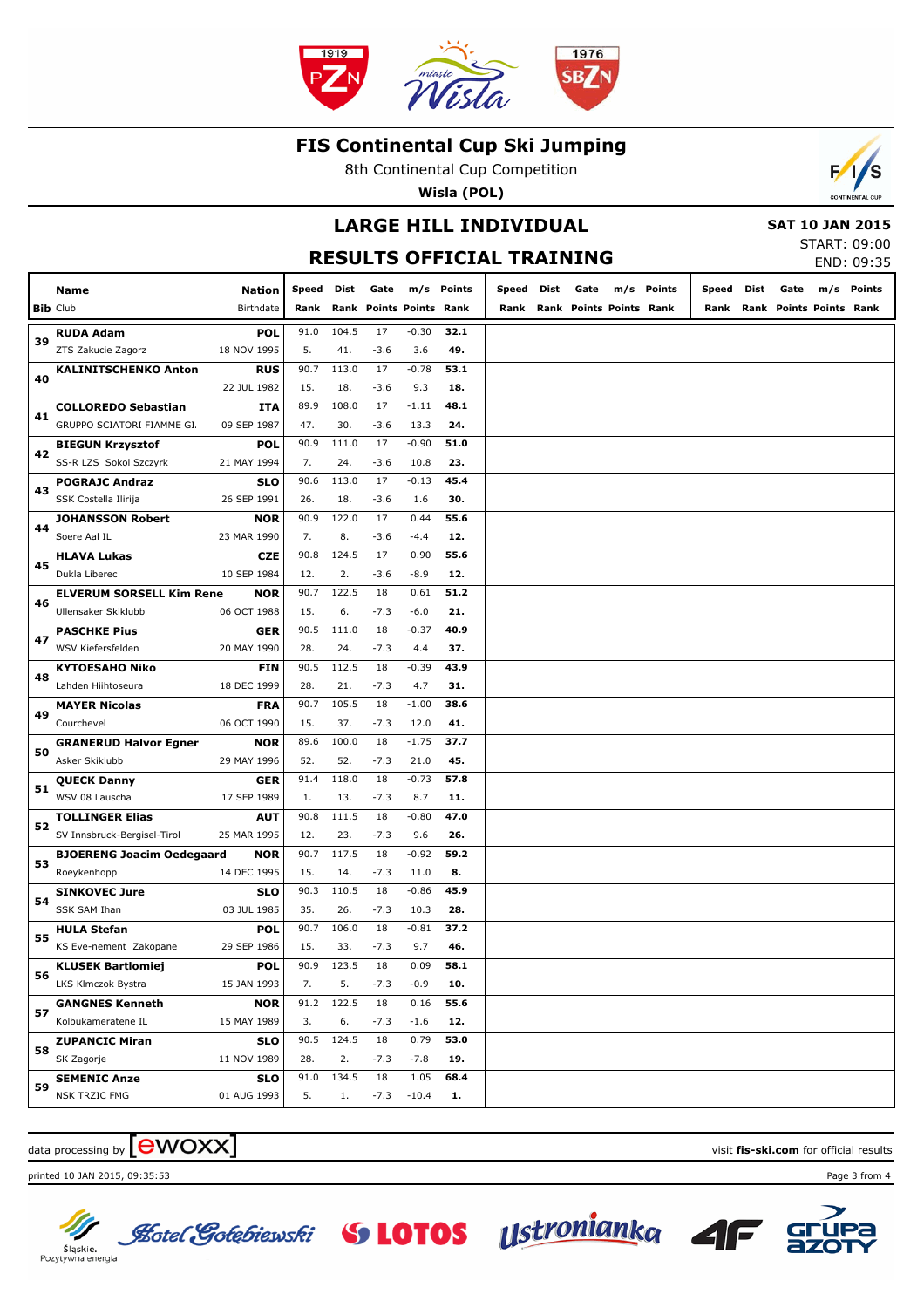

8th Continental Cup Competition

**Wisla (POL)**

## **LARGE HILL INDIVIDUAL**

 **SAT 10 JAN 2015**

START: 09:00 END: 09:35

|    |                                  |               |            |       |        |                              |            | <b>RESULTS OFFICIAL TRAINING</b> |                              |            |       |      |                              | END: 09:35 |
|----|----------------------------------|---------------|------------|-------|--------|------------------------------|------------|----------------------------------|------------------------------|------------|-------|------|------------------------------|------------|
|    | Name                             | <b>Nation</b> | Speed Dist |       | Gate   |                              | m/s Points | Speed Dist                       | Gate                         | m/s Points | Speed | Dist | Gate                         | m/s Points |
|    | <b>Bib Club</b>                  | Birthdate     |            |       |        | Rank Rank Points Points Rank |            |                                  | Rank Rank Points Points Rank |            |       |      | Rank Rank Points Points Rank |            |
|    | <b>RUDA Adam</b>                 | <b>POL</b>    | 91.0       | 104.5 | 17     | $-0.30$                      | 32.1       |                                  |                              |            |       |      |                              |            |
| 39 | ZTS Zakucie Zagorz               | 18 NOV 1995   | 5.         | 41.   | $-3.6$ | 3.6                          | 49.        |                                  |                              |            |       |      |                              |            |
|    | <b>KALINITSCHENKO Anton</b>      | <b>RUS</b>    | 90.7       | 113.0 | 17     | $-0.78$                      | 53.1       |                                  |                              |            |       |      |                              |            |
| 40 |                                  | 22 JUL 1982   | 15.        | 18.   | $-3.6$ | 9.3                          | 18.        |                                  |                              |            |       |      |                              |            |
| 41 | <b>COLLOREDO Sebastian</b>       | ITA           | 89.9       | 108.0 | 17     | $-1.11$                      | 48.1       |                                  |                              |            |       |      |                              |            |
|    | GRUPPO SCIATORI FIAMME GI.       | 09 SEP 1987   | 47.        | 30.   | $-3.6$ | 13.3                         | 24.        |                                  |                              |            |       |      |                              |            |
|    | <b>BIEGUN Krzysztof</b>          | POL           | 90.9       | 111.0 | 17     | $-0.90$                      | 51.0       |                                  |                              |            |       |      |                              |            |
| 42 | SS-R LZS Sokol Szczyrk           | 21 MAY 1994   | 7.         | 24.   | $-3.6$ | 10.8                         | 23.        |                                  |                              |            |       |      |                              |            |
| 43 | <b>POGRAJC Andraz</b>            | <b>SLO</b>    | 90.6       | 113.0 | 17     | $-0.13$                      | 45.4       |                                  |                              |            |       |      |                              |            |
|    | SSK Costella Ilirija             | 26 SEP 1991   | 26.        | 18.   | $-3.6$ | 1.6                          | 30.        |                                  |                              |            |       |      |                              |            |
| 44 | <b>JOHANSSON Robert</b>          | <b>NOR</b>    | 90.9       | 122.0 | 17     | 0.44                         | 55.6       |                                  |                              |            |       |      |                              |            |
|    | Soere Aal IL                     | 23 MAR 1990   | 7.         | 8.    | $-3.6$ | $-4.4$                       | 12.        |                                  |                              |            |       |      |                              |            |
|    | <b>HLAVA Lukas</b>               | <b>CZE</b>    | 90.8       | 124.5 | 17     | 0.90                         | 55.6       |                                  |                              |            |       |      |                              |            |
| 45 | Dukla Liberec                    | 10 SEP 1984   | 12.        | 2.    | $-3.6$ | $-8.9$                       | 12.        |                                  |                              |            |       |      |                              |            |
|    | <b>ELVERUM SORSELL Kim Rene</b>  | <b>NOR</b>    | 90.7       | 122.5 | 18     | 0.61                         | 51.2       |                                  |                              |            |       |      |                              |            |
| 46 | Ullensaker Skiklubb              | 06 OCT 1988   | 15.        | 6.    | $-7.3$ | $-6.0$                       | 21.        |                                  |                              |            |       |      |                              |            |
|    | <b>PASCHKE Pius</b>              | GER           | 90.5       | 111.0 | 18     | $-0.37$                      | 40.9       |                                  |                              |            |       |      |                              |            |
| 47 | WSV Kiefersfelden                | 20 MAY 1990   | 28.        | 24.   | $-7.3$ | 4.4                          | 37.        |                                  |                              |            |       |      |                              |            |
|    | <b>KYTOESAHO Niko</b>            | FIN           | 90.5       | 112.5 | 18     | $-0.39$                      | 43.9       |                                  |                              |            |       |      |                              |            |
| 48 | Lahden Hiihtoseura               | 18 DEC 1999   | 28.        | 21.   | $-7.3$ | 4.7                          | 31.        |                                  |                              |            |       |      |                              |            |
|    | <b>MAYER Nicolas</b>             | <b>FRA</b>    | 90.7       | 105.5 | 18     | $-1.00$                      | 38.6       |                                  |                              |            |       |      |                              |            |
| 49 | Courchevel                       | 06 OCT 1990   | 15.        | 37.   | $-7.3$ | 12.0                         | 41.        |                                  |                              |            |       |      |                              |            |
|    | <b>GRANERUD Halvor Egner</b>     | NOR           | 89.6       | 100.0 | 18     | $-1.75$                      | 37.7       |                                  |                              |            |       |      |                              |            |
| 50 | Asker Skiklubb                   | 29 MAY 1996   | 52.        | 52.   | $-7.3$ | 21.0                         | 45.        |                                  |                              |            |       |      |                              |            |
|    | <b>QUECK Danny</b>               | GER           | 91.4       | 118.0 | 18     | $-0.73$                      | 57.8       |                                  |                              |            |       |      |                              |            |
| 51 | WSV 08 Lauscha                   | 17 SEP 1989   | 1.         | 13.   | $-7.3$ | 8.7                          | 11.        |                                  |                              |            |       |      |                              |            |
|    | <b>TOLLINGER Elias</b>           | AUT           | 90.8       | 111.5 | 18     | $-0.80$                      | 47.0       |                                  |                              |            |       |      |                              |            |
| 52 | SV Innsbruck-Bergisel-Tirol      | 25 MAR 1995   | 12.        | 23.   | $-7.3$ | 9.6                          | 26.        |                                  |                              |            |       |      |                              |            |
| 53 | <b>BJOERENG Joacim Oedegaard</b> | NOR           | 90.7       | 117.5 | 18     | $-0.92$                      | 59.2       |                                  |                              |            |       |      |                              |            |
|    | Roeykenhopp                      | 14 DEC 1995   | 15.        | 14.   | $-7.3$ | 11.0                         | 8.         |                                  |                              |            |       |      |                              |            |
|    | <b>SINKOVEC Jure</b>             | <b>SLO</b>    | 90.3       | 110.5 | 18     | $-0.86$                      | 45.9       |                                  |                              |            |       |      |                              |            |
| 54 | SSK SAM Ihan                     | 03 JUL 1985   | 35.        | 26.   | $-7.3$ | 10.3                         | 28.        |                                  |                              |            |       |      |                              |            |
| 55 | <b>HULA Stefan</b>               | <b>POL</b>    | 90.7       | 106.0 | 18     | $-0.81$                      | 37.2       |                                  |                              |            |       |      |                              |            |
|    | KS Eve-nement Zakopane           | 29 SEP 1986   | 15.        | 33.   | $-7.3$ | 9.7                          | 46.        |                                  |                              |            |       |      |                              |            |
|    | <b>KLUSEK Bartlomiej</b>         | <b>POL</b>    | 90.9       | 123.5 | 18     | 0.09                         | 58.1       |                                  |                              |            |       |      |                              |            |
| 56 | LKS Klmczok Bystra               | 15 JAN 1993   | 7.         | 5.    | $-7.3$ | $-0.9$                       | 10.        |                                  |                              |            |       |      |                              |            |
|    | <b>GANGNES Kenneth</b>           | <b>NOR</b>    | 91.2       | 122.5 | 18     | 0.16                         | 55.6       |                                  |                              |            |       |      |                              |            |
| 57 | Kolbukameratene IL               | 15 MAY 1989   | 3.         | 6.    | $-7.3$ | $-1.6$                       | 12.        |                                  |                              |            |       |      |                              |            |
|    | <b>ZUPANCIC Miran</b>            | <b>SLO</b>    | 90.5       | 124.5 | 18     | 0.79                         | 53.0       |                                  |                              |            |       |      |                              |            |
| 58 | SK Zagorje                       | 11 NOV 1989   | 28.        | 2.    | $-7.3$ | $-7.8$                       | 19.        |                                  |                              |            |       |      |                              |            |
|    | <b>SEMENIC Anze</b>              | <b>SLO</b>    | 91.0       | 134.5 | 18     | 1.05                         | 68.4       |                                  |                              |            |       |      |                              |            |
| 59 | NSK TRZIC FMG                    | 01 AUG 1993   | 5.         | 1.    | $-7.3$ | $-10.4$                      | 1.         |                                  |                              |            |       |      |                              |            |

# $\frac{1}{2}$  data processing by  $\boxed{\text{ewOX}}$

printed 10 JAN 2015, 09:35:53 Page 3 from 4